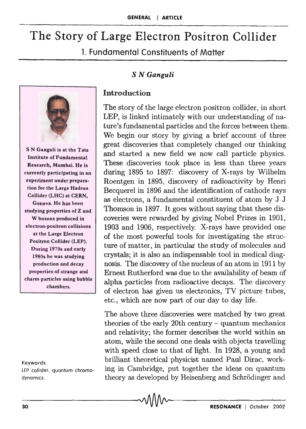# **The Story of Large Electron Positron Collider**

1. **Fundamental Constituents of Matter** 

# S *N Ganguli*



S N Ganguli is at the Tata Institute of Fundamental Research, Mumbai. He is currently participating in an experiment under preparation for the Large Hadron Collider (LHC) at CERN, Geneva. He has been studying properties of Z and W bosons produced in electron-positron collisions at the Large Electron Positron Collider (LEP). During 1970s and early 1980s he was studying production and decay properties of strange and charm particles using bubble chambers.

#### Keywords

LEP collider, quantum chromodynamics.

## **Introduction**

The story of the large electron positron collider, in short LEP, is linked intimately with our understanding of nature's fundamental particles and the forces between them. We begin our story by giving a brief account of three great discoveries that completely changed our thinking and started a new field we now call particle physics. These discoveries took place in less than three years during 1895 to 1897: discovery of X-rays by Wilhelm Roentgen in 1895, discovery of radioactivity by Henri Becquerel in 1896 and the identification of cathode rays as electrons, a fundamental constituent of atom by J J Thomson in 1897. It goes without saying that these discoveries were rewarded by giving Nobel Prizes in 1901, 1903 and 1906, respectively. X-rays have provided one of the most powerful tools for investigating the structure of matter, in particular the study of molecules and crystals; it is also an indispensable tool in medical diagnosis. The discovery of the nucleus of an atom in 1911 by Ernest Rutherford was due to the availability of beam of alpha particles from radioactive decays. The discovery of electron has given us electronics, TV picture tubes, etc., which are now part of our day to day life.

The above three discoveries were matched by two great theories of the early 20th century - quantum mechanics and relativity; the former describes the world within an atom, while the second one deals with objects travelling with speed close to that of light. In 1928, a young and brilliant theoretical physicist named Paul Dirac, working in Cambridge, put together the ideas on quantum theory as developed by Heisenberg and Schrödinger and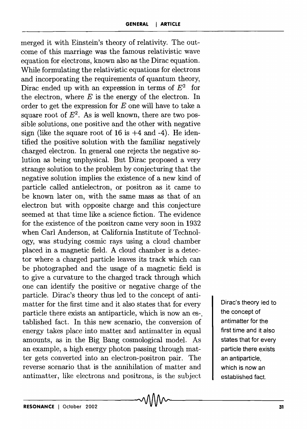merged it with Einstein's theory of relativity. The outcome of this marriage was the famous relativistic wave equation for electrons, known also as the Dirac equation. While formulating the relativistic equations for electrons and incorporating the requirements of quantum theory, Dirac ended up with an expression in terms of  $E^2$  for the electron, where  $E$  is the energy of the electron. In order to get the expression for  $E$  one will have to take a square root of  $E^2$ . As is well known, there are two possible solutions, one positive and the other with negative sign (like the square root of  $16$  is  $+4$  and  $-4$ ). He identified the positive solution with the familiar negatively charged electron. In general one rejects the negative solution as being unphysical. But Dirac proposed a very strange solution to the problem by conjecturing that the negative solution implies the existence of a new kind of particle called antielectron, or positron as it came to be known later on, with the same mass as that of an electron but with opposite charge and this conjecture seemed at that time like a science fiction. The evidence for the existence of the positron came very soon in 1932 when Carl Anderson, at California Institute of Technology, was studying cosmic rays using a cloud chamber placed in a magnetic field. A cloud chamber is a detector where a charged particle leaves its track which can be photographed and the usage of a magnetic field is to give a curvature to the charged track through which one can identify the positive or negative charge of the particle. Dirac's theory thus led to the concept of antimatter for the first time and it also states that for every particle there exists an antiparticle, which is now an es-. tablished fact. In this new scenario, the conversion of energy takes place into matter and antimatter in equal amounts, as in the Big Bang cosmological model. As an example, a high energy photon passing through matter gets converted into an electron-positron pair. The reverse scenario that is the annihilation of matter and antimatter, like electrons and positrons, is the subject

Dirac's theory led to the concept of antimatter for the first time and it also states that for every particle there exists an antiparticle, which is now an established fact.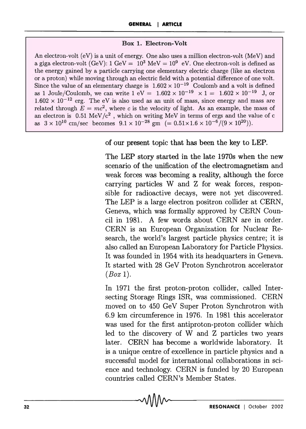## Box 1. Electron-Volt

An electron-volt (eV) is a unit of energy. One also uses a million electron-volt (MeV) and a giga electron-volt (GeV):  $1 \text{ GeV} = 10^3 \text{ MeV} = 10^9 \text{ eV}$ . One electron-volt is defined as the energy gained by a particle carrying one elementary electric charge (like an electron or a proton) while moving through an electric field with a potential difference of one volt. Since the value of an elementary charge is  $1.602 \times 10^{-19}$  Coulomb and a volt is defined as 1 Joule/Coulomb, we can write  $1 \text{ eV} = 1.602 \times 10^{-19} \times 1 = 1.602 \times 10^{-19} \text{ J}$ , or  $1.602 \times 10^{-12}$  erg. The eV is also used as an unit of mass, since energy and mass are related through  $E = mc^2$ , where c is the velocity of light. As an example, the mass of an electron is  $0.51 \text{ MeV}/c^2$ , which on writing MeV in terms of ergs and the value of c as  $3 \times 10^{10}$  cm/sec becomes  $9.1 \times 10^{-28}$  gm  $(= 0.51 \times 1.6 \times 10^{-6}/(9 \times 10^{20}))$ .

## of our present topic that has been the key to LEP.

The LEP story started in the late 1970s when the new scenario of the unification of the electromagnetism and weak forces was becoming a reality, although the force carrying particles Wand Z for weak forces, responsible for radioactive decays, were not yet discovered. The LEP is a large electron positron collider at CERN, Geneva, which was formally approved by CERN Council in 1981. A few words about CERN are in order. CERN is an European Organization for Nuclear Research, the world's largest particle physics centre; it is also called an European Laboratory for Particle Physics. It was founded in 1954 with its headquarters in Geneva. It started with 28 GeV Proton Synchrotron accelerator *(Box 1).* 

In 1971 the first proton-proton collider, called Intersecting Storage Rings ISR, was commissioned. CERN moved on to 450 GeV Super Proton Synchrotron with 6.9 km circumference in 1976. In 1981 this accelerator was used for the first antiproton-proton collider which led to the discovery of W and Z particles two years later. CERN has become a worldwide laboratory. It is a unique centre of excellence in particle physics and a successful model for international collaborations in science and technology. CERN is funded by 20 European countries called CERN's Member States.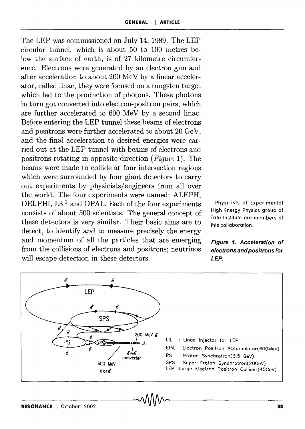The LEP was commissioned on July 14, 1989. The LEP circular tunnel, which is about 50 to 100 metres below the surface of earth, is of 27 kilometre circumference. Electrons were generated by an electron gun and after acceleration to about 200 MeV by a linear accelerator, called linac, they were focused on a tungsten target which led to the production of photons. These photons in turn got converted into electron-positron pairs, which are further accelerated to 600 MeV by a second linac. Before entering the LEP tunnel these beams of electrons and positrons were further accelerated to about 20 GeV, and the final acceleration to desired energies were carried out at the LEP tunnel with beams of electrons and positrons rotating in opposite direction *(Figure* 1). The beams were made to collide at four intersection regions which were surrounded by four giant detectors to carry out experiments by physicists/engineers from all over the world. The four experiments were named: ALEPH, DELPHI, L3<sup>1</sup> and OPAL. Each of the four experiments consists of about 500 scientists. The general concept of these detectors is very similar. Their basic aims are to detect, to identify and to measure precisely the energy and momentum of all the particles that are emerging from the collisions of electrons and positrons; neutrinos will escape detection in these detectors.

Physicists of Experimental High Energy Physics group of Tata Institute are members of this collaboration.

## **Figure 1. Acceleration of electrons and positrons for**  *LEP.*

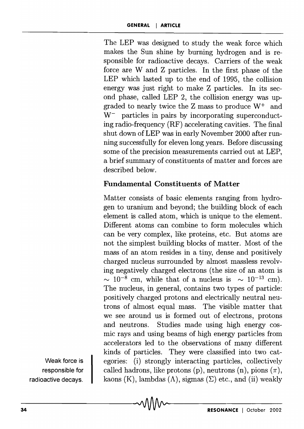The LEP was designed to study the weak force which makes the Sun shine by burning hydrogen and is responsible for radioactive decays. Carriers of the weak force are Wand Z particles. In the first phase of the LEP which lasted up to the end of 1995, the collision energy was just right to make Z particles. In its second phase, called LEP 2, the collision energy was upgraded to nearly twice the Z mass to produce W+ and  $W^-$  particles in pairs by incorporating superconducting radio-frequency (RF) accelerating cavities. The final shut down of LEP was in early November 2000 after running successfully for eleven long years. Before discussing some of the precision measurements carried out at LEP, a brief summary of constituents of matter and forces are described below.

# **Fundamental Constituents of Matter**

Matter consists of basic elements ranging from hydrogen to uranium and beyond; the building block of each element is called atom, which is unique to the element. Different atoms can combine to form molecules which can be very complex, like proteins, etc. But atoms are not the simplest building blocks of matter. Most of the mass of an atom resides in a tiny, dense and positively charged nucleus surrounded by almost massless revolving negatively charged electrons (the size of an atom is  $\sim 10^{-8}$  cm, while that of a nucleus is  $\sim 10^{-13}$  cm). The nucleus, in general, contains two types of particle: positively charged protons and electrically neutral neutrons of almost equal mass. The visible matter that we see around us is formed out of electrons, protons and neutrons. Studies made using high energy cosmic rays and using beams of high energy particles from accelerators led to the observations of many different kinds of particles. They were classified into two categories: (i) strongly interacting particles, collectively called hadrons, like protons (p), neutrons (n), pions  $(\pi)$ , kaons (K), lambdas ( $\Lambda$ ), sigmas ( $\Sigma$ ) etc., and (ii) weakly

Weak force is responsible for radioactive decays.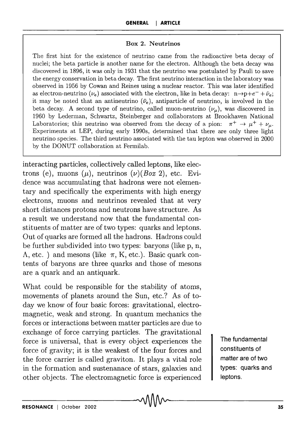#### Box 2. Neutrinos

The first hint for the existence of neutrino came from the radioactive beta decay of nuclei; the beta particle is another name for the electron. Although the beta decay was discovered in 1896, it was only in 1931 that the neutrino was postulated by Pauli to save the energy conservation in beta decay. The first neutrino interaction in the laboratory was observed in 1956 by Cowan and Reines using a nuclear reactor. This was later identified as electron-neutrino  $(\nu_e)$  associated with the electron, like in beta decay:  $n\rightarrow p+e^- + \bar{\nu}_e$ ; it may be noted that an antineutrino  $(\bar{\nu}_e)$ , antiparticle of neutrino, is involved in the beta decay. A second type of neutrino, called muon-neutrino  $(\nu_{\mu})$ , was discovered in 1960 by Lederman, Schwartz, Steinberger and collaborators at Brookhaven National Laboratories; this neutrino was observed from the decay of a pion:  $\pi^+ \to \mu^+ + \nu_\mu$ . Experiments at LEP, during early 1990s, determined that there are only three light neutrino species. The third neutrino associated with the tau lepton was observed in 2000 by the DONUT collaboration at Fermilab.

interacting particles, collectively called leptons, like electrons (e), muons  $(\mu)$ , neutrinos  $(\nu)(Box 2)$ , etc. Evidence was accumulating that hadrons were not elementary and specifically the experiments with high energy electrons, muons and neutrinos revealed that at very short distances protons and neutrons have structure. As a result we understand now that the fundamental constituents of matter are of two types: quarks and leptons. Out of quarks are formed all the hadrons. Hadrons could be further subdivided into two types: baryons (like p, n,  $\Lambda$ , etc.) and mesons (like  $\pi$ , K, etc.). Basic quark contents of baryons are three quarks and those of mesons are a quark and an antiquark.

What could be responsible for the stability of atoms, movements of planets around the Sun, etc.? As of today we know of four basic forces: gravitational, electromagnetic, weak and strong. In quantum mechanics the forces or interactions between matter particles are due to exchange of force carrying particles. The gravitational force is universal, that is every object experiences the force of gravity; it is the weakest of the four forces and the force carrier is called graviton. It plays a vital role in the formation and sustenanace of stars, galaxies and other objects. The electromagnetic force is experienced

The fundamental constituents of matter are of two types: quarks and leptons.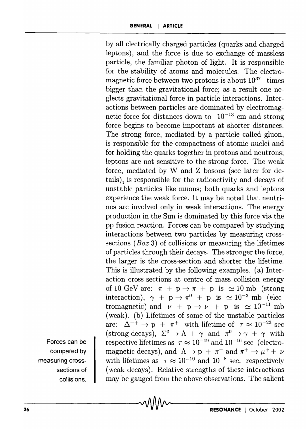by all electrically charged particles (quarks and charged leptons), and the force is due to exchange of massless particle, the familiar photon of light. It is responsible for the stability of atoms and molecules. The electromagnetic force between two protons is about  $10^{37}$  times bigger than the gravitational force; as a result one neglects gravitational force in particle interactions. Interactions between particles are dominated by electromagnetic force for distances down to  $10^{-13}$  cm and strong force begins to become important at shorter distances. The strong force, mediated by a particle called gluon, is responsible for the compactness of atomic nuclei and for holding the quarks together in protons and neutrons; leptons are not sensitive to the strong force. The weak force, mediated by Wand Z bosons (see later for details), is responsible for the radioactivity and decays of unstable particles like muons; both quarks and leptons experience the weak force. It may be noted that neutrinos are involved only in weak interactions. The energy production in the Sun is dominated by this force via the pp fusion reaction. Forces can be compared by studying interactions between two particles by measuring crosssections *(Box* 3) of collisions or measuring the lifetimes of particles through their decays. The stronger the force, the larger is the cross-section and shorter the lifetime. This is illustrated by the following examples. ( a) Interaction cross-sections at centre of mass collision energy of 10 GeV are:  $\pi + p \rightarrow \pi + p$  is  $\simeq 10$  mb (strong interaction),  $\gamma + p \rightarrow \pi^0 + p$  is  $\approx 10^{-3}$  mb (electromagnetic) and  $\nu + p \rightarrow \nu + p$  is  $\simeq 10^{-11}$  mb (weak). (b) Lifetimes of some of the unstable particles are:  $\Delta^{++} \rightarrow p + \pi^+$  with lifetime of  $\tau \approx 10^{-23}$  sec (strong decays),  $\Sigma^0 \to \Lambda + \gamma$  and  $\pi^0 \to \gamma + \gamma$  with respective lifetimes as  $\tau \approx 10^{-19}$  and  $10^{-16}$  sec (electromagnetic decays), and  $\Lambda \rightarrow p + \pi^-$  and  $\pi^+ \rightarrow \mu^+ + \nu$ with lifetimes as  $\tau \approx 10^{-10}$  and  $10^{-8}$  sec, respectively (weak decays). Relative strengths of these interactions may be gauged from the above observations. The salient

Forces can be compared by measuring crosssections of collisions.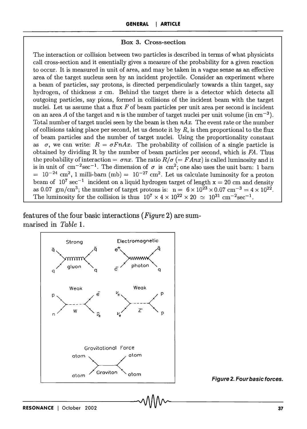#### Box 3. Cross-section

The interaction or collision between two particles is described in tenus of what physicists call cross-section and it essentially gives a measure of the probability for a given reaction to occur. It is measured in unit of area, and may be taken in a vague sense as an effective area of the target nucleus seen by an incident projectile. Consider an experiment where a beam of particles, say protons, is directed perpendicularly towards a thin target, say hydrogen, of thickness  $x$  cm. Behind the target there is a detector which detects all outgoing particles, say pions, formed in collisions of the incident beam with the target nuclei. Let us assume that a flux  $F$  of beam particles per unit area per second is incident on an area A of the target and  $n$  is the number of target nuclei per unit volume (in  $\text{cm}^{-3}$ ). Total number of target nuclei seen by the beam is then *nAx.* The event rate or the number of collisions taking place per second, let us denote it by *R,* is then proportional to the flux of beam particles and the number of target nuclei. Using the proportionality constant as  $\sigma$ , we can write:  $R = \sigma F n A x$ . The probability of collision of a single particle is obtained by dividing R by the number of beam particles per second, which is FA. Thus the probability of interaction  $= \sigma nx$ . The ratio  $R/\sigma (= F Anx)$  is called luminosity and it is in unit of  $\text{cm}^{-2}\text{sec}^{-1}$ . The dimension of  $\sigma$  is  $\text{cm}^2$ ; one also uses the unit barn: 1 barn  $= 10^{-24}$  cm<sup>2</sup>, 1 milli-barn (mb)  $= 10^{-27}$  cm<sup>2</sup>. Let us calculate luminosity for a proton beam of  $10^7 \text{ sec}^{-1}$  incident on a liquid hydrogen target of length  $x = 20$  cm and density as 0.07 gm/cm<sup>3</sup>; the number of target protons is:  $n = 6 \times 10^{23} \times 0.07$  cm<sup>-3</sup> = 4  $\times 10^{22}$ . The luminosity for the collision is thus  $10^7 \times 4 \times 10^{22} \times 20 \approx 10^{31} \text{ cm}^{-2} \text{sec}^{-1}$ .

features of the four basic interactions *(Figure* 2) are summarised in *Table 1.* 



Figure 2. Four basic forces.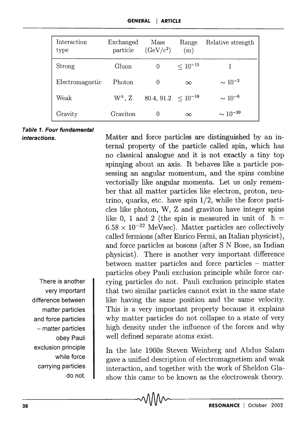| Interaction<br>type | Exchanged<br>particle | Mass<br>$(GeV/c^2)$     | Range<br>(m) | Relative strength |
|---------------------|-----------------------|-------------------------|--------------|-------------------|
| Strong              | Gluon                 | 0                       | $< 10^{-15}$ |                   |
| Electromagnetic     | Photon                | 0                       | $\infty$     | $\sim 10^{-2}$    |
| Weak                | $W^{\pm}$ , Z         | $80.4, 91.2 < 10^{-18}$ |              | $\sim 10^{-6}$    |
| Gravity             | Graviton              | 0                       | $\infty$     | $\sim 10^{-39}$   |

#### Table 1. Four fundamental interactions.

There is another very important difference between matter particles and force particles - matter particles

obey Pauli

while force

do not.

exclusion principle

carrying particles

Matter and force particles are distinguished by an internal property of the particle called spin, which has no classical analogue and it is not exactly a tiny top spinning about an axis. It behaves like a particle possessing an angular momentum, and the spins combine vectorially like angular momenta. Let us only remember that all matter particles like electron, proton, neutrino, quarks, etc. have spin 1/2, while the force particles like photon, W, Z and graviton have integer spins like 0, 1 and 2 (the spin is measured in unit of  $\hbar =$  $6.58 \times 10^{-22}$  MeVsec). Matter particles are collectively called fermions (after Enrico Fermi, an Italian physicist), and force particles as bosons (after S N Bose, an Indian physicist). There is another very important difference between matter particles and force particles - matter particles obey Pauli exclusion principle while force carrying particles do not. Pauli exclusion principle states that two similar particles cannot exist in the same state like having the same position and the same velocity. This is a very important property because it explains why matter particles do not collapse to a state of very high density under the influence of the forces and why well defined separate atoms exist.

In the late 1960s Steven Weinberg and Abdus Salam gave a unified description of electromagnetism and weak interaction, and together with the work of Sheldon Glashow this came to be known as the electroweak theory.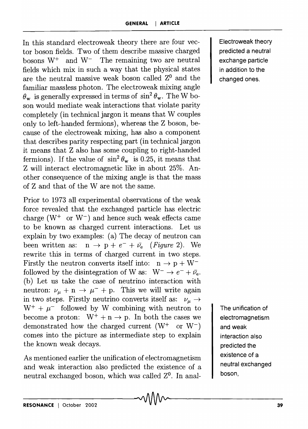In this standard electroweak theory there are four vector boson fields. Two of them describe massive charged bosons  $W^+$  and  $W^-$  The remaining two are neutral fields which mix in such a way that the physical states are the neutral massive weak boson called  $Z^0$  and the familiar massless photon. The electroweak mixing angle  $\theta_{\rm w}$  is generally expressed in terms of  $\sin^2 \theta_{\rm w}$ . The W boson would mediate weak interactions that violate parity completely (in technical jargon it means that W couples only to left-handed fermions), whereas the Z boson, because of the electroweak mixing, has also a component that describes parity respecting part (in technical jargon it means that Z also has some coupling to right-handed fermions). If the value of  $\sin^2 \theta_w$  is 0.25, it means that Z will interact electromagnetic like in about 25%. Another consequence of the mixing angle is that the mass of Z and that of the Ware not the same.

Prior to 1973 all experimental observations of the weak force revealed that the exchanged particle has electric charge  $(W^+ \text{ or } W^-)$  and hence such weak effects came to be known *as* charged current interactions. Let us explain by two examples: (a) The decay of neutron can been written as:  $n \to p + e^- + \bar{\nu}_e$  (*Figure 2*). We rewrite this in terms of charged current in two steps. Firstly the neutron converts itself into:  $n \to p + W^$ followed by the disintegration of W as:  $W^- \rightarrow e^- + \bar{\nu}_e$ . (b) Let us take the case of neutrino interaction with neutron:  $\nu_{\mu} + \mathbf{n} \rightarrow \mu^- + \mathbf{p}$ . This we will write again in two steps. Firstly neutrino converts itself as:  $\nu_{\mu} \rightarrow$  $W^+ + \mu^-$  followed by W combining with neutron to become a proton:  $W^+ + n \rightarrow p$ . In both the cases we demonstrated how the charged current  $(W^+ \text{ or } W^-)$ comes into the picture as intermediate step to explain the known weak decays.

As mentioned earlier the unification of electromagnetism and weak interaction also predicted the existence of a neutral exchanged boson, which was called  $Z<sup>0</sup>$ . In analElectroweak theory predicted a neutral exchange particle in addition to the changed ones.

The unification of electromagnetism and weak interaction also predicted the existence of a neutral exchanged boson,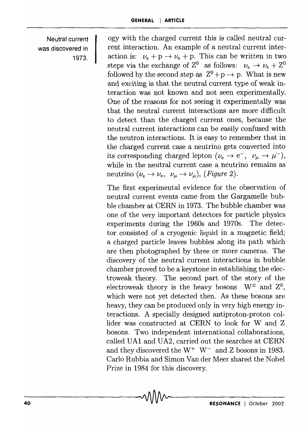Neutral current was discovered in 1973.

ogy with the charged current this is called neutral current interaction. An example of a neutral current interaction is:  $\nu_e + p \rightarrow \nu_e + p$ . This can be written in two steps via the exchange of  $Z^0$  as follows:  $\nu_e \rightarrow \nu_e + Z^0$ followed by the second step as  $Z^0 + p \rightarrow p$ . What is new and exciting is that the neutral current type of weak interaction was not known and not seen experimentally. One of the reasons for not seeing it experimentally was that the neutral current interactions are more difficult to detect than the charged current ones, because the neutral current interactions can be easily confused with the neutron interactions. It is easy to remember that in the charged current case a neutrino gets converted into its corresponding charged lepton  $(\nu_{\rm e} \rightarrow {\rm e^-}, \nu_{\mu} \rightarrow \mu^{-})$ , while in the neutral current case a neutrino remains as neutrino  $(\nu_e \to \nu_e, \ \nu_\mu \to \nu_\mu)$ , (*Figure 2*).

The first experimental evidence for the observation of neutral current events came from the Gargamelle bubble chamber at CERN in 1973. The bubble chamber was one of the very important detectors for particle physics experiments during the 1960s and 1970s. The detector consisted of a cryogenic liquid in a magnetic field; a charged particle leaves bubbles along its path which are then photographed by three or more cameras. The discovery of the neutral current interactions in bubble chamber proved to be a keystone in establishing the electroweak theory. The second part of the story of the electroweak theory is the heavy bosons  $W^{\pm}$  and  $Z^{0}$ , which were not yet detected then. As these bosons are heavy, they can be produced only in very high energy interactions. A specially designed antiproton-proton collider was constructed at CERN to look for W and Z bosons. Two independent international collaborations, called UA1 and UA2, carried out the searches at CERN and they discovered the  $W^+$   $W^-$  and Z bosons in 1983. Carlo Rubbia and Simon Van der Meer shared the Nobel Prize in 1984 for this discovery.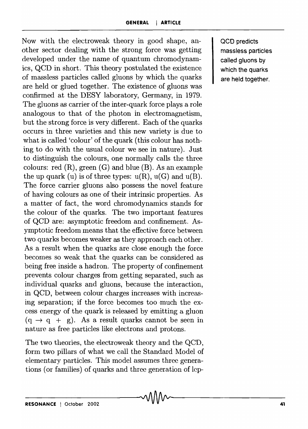Now with the electroweak theory in good shape, another sector dealing with the strong force was getting developed under the name of quantum chromodynamics, QCD in short. This theory postulated the existence of massless particles called gluons by which the quarks are held or glued together. The existence of gluons was confirmed at the DESY laboratory, Germany, in 1979. The gluons as carrier of the inter-quark force plays a role analogous to that of the photon in electromagnetism, but the strong force is very different. Each of the quarks occurs in three varieties and this new variety is due to what is called 'colour' of the quark (this colour has nothing to do with the usual colour we see in nature). Just to distinguish the colours, one normally calls the three colours: red  $(R)$ , green  $(G)$  and blue  $(B)$ . As an example the up quark (u) is of three types:  $u(R)$ ,  $u(G)$  and  $u(B)$ . The force carrier gluons also possess the novel feature of having colours as one of their intrinsic properties. As a matter of fact, the word chromodynamics stands for the colour of the quarks. The two important features of QCD are: asymptotic freedom and confinement. Asymptotic freedom means that the effective force between two quarks becomes weaker as they approach each other. As a result when the quarks are close enough the force becornes so weak that the quarks can be considered as being free inside a hadron. The property of confinement prevents colour charges from getting separated, such as individual quarks and gluons, because the interaction, in QCD, between colour charges increases with increasing separation; if the force becomes too much the excess energy of the quark is released by emitting a gluon  $(q \rightarrow q + g)$ . As a result quarks cannot be seen in nature as free particles like electrons and protons.

The two theories, the electroweak theory and the QCD, form two pillars of what we call the Standard Model of elementary particles. This model assumes three generations (or families) of quarks and three generation of lcpQCD predicts massless particles called gluons by which the quarks are held together.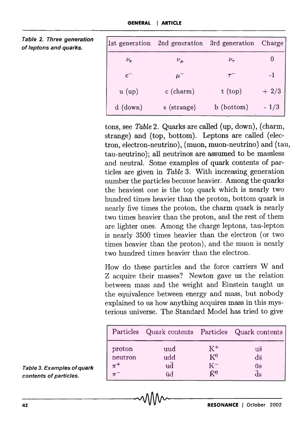| 1st generation | 2nd generation | 3rd generation | Charge |
|----------------|----------------|----------------|--------|
| $\nu_e$        | $\nu_\mu$      | $\nu_{\tau}$   |        |
| $e^-$          | $\mu$          |                |        |
| u (up)         | $c$ (charm)    | $t$ (top)      | $+2/3$ |
| $d$ (down)     | s (strange)    | b (bottom)     | 1/3    |

tons, see *Table* 2. Quarks are called (up, down), (charm, strange) and (top, bottom). Leptons are called (electron, electron-neutrino), (muon, muon-neutrino) and (tau, tau-neutrino); all neutrinos are assumed to be massless and neutral. Some examples of quark contents of particles are given in *Table* 3. With increasing. generation number the particles become heavier. Among the quarks the heaviest one is the top quark which is nearly two hundred times heavier than the proton, bottom quark is nearly five times the proton, the charm quark is nearly two times heavier than the proton, and the rest of them are lighter ones. Among the charge leptons, tau-lepton is nearly 3500 times heavier than the electron (or two times heavier than the proton), and the muon is nearly two hundred times heavier than the electron.

. How do these particles and the force carriers Wand Z acquire their masses? Newton gave us the relation between mass and the weight and Einstein taught us the equivalence between energy and mass, but nobody explained to us how anything acquires mass in this mysterious universe. The Standard Model has tried to give

| 42                         |                    |           | October<br>2002<br><b>RESONANCE</b> |                                         |
|----------------------------|--------------------|-----------|-------------------------------------|-----------------------------------------|
|                            |                    |           |                                     |                                         |
| contents of particles.     | $\pi^-$            | ūd        | $\bar{K}^0$                         | $\bar{d}s$                              |
| Table 3. Examples of quark | neutron<br>$\pi^+$ | udd<br>ud | $K^0$<br>$K^-$                      | $d\overline{s}$<br>ūs                   |
|                            | proton             | uud       | $K^+$                               | $\overline{u}$                          |
|                            | Particles          |           |                                     | Quark contents Particles Quark contents |

Table 2. Three generation of leptons and quarks.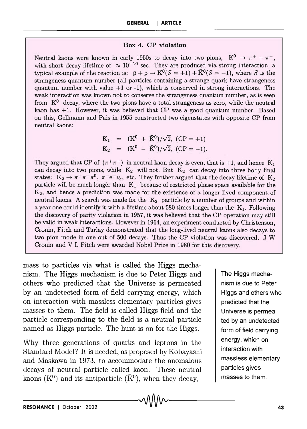### Box 4. CP violation

Neutral kaons were known in early 1950s to decay into two pions,  $K^0 \rightarrow \pi^+ + \pi^-$ , with short decay lifetime of  $\approx 10^{-10}$  sec. They are produced via strong interaction, a typical example of the reaction is:  $\bar{p} + p \rightarrow K^0(S = +1) + \bar{K}^0(S = -1)$ , where S is the strangeness quantum number (all particles containing a strange quark have strangeness quantum number with value  $+1$  or  $-1$ ), which is conserved in strong interactions. The weak interaction was known not to conserve the strangeness quantum number, as is seen from  $K^0$  decay, where the two pions have a total strangeness as zero, while the neutral kaon has +1. However, it was believed that CP was a good quantum number. Based on this, Gellmann and Pais in 1955 constructed two eigenstates with opposite CP from neutral kaons:

$$
K_1 = (K^0 + \bar{K}^0)/\sqrt{2}, (CP = +1)
$$
  
\n
$$
K_2 = (K^0 - \bar{K}^0)/\sqrt{2}, (CP = -1).
$$

They argued that CP of  $(\pi^+\pi^-)$  in neutral kaon decay is even, that is +1, and hence K<sub>1</sub> can decay into two pions, while  $K_2$  will not. But  $K_2$  can decay into three body final states:  $K_2 \rightarrow \pi^+\pi^-\pi^0$ ,  $\pi^-e^+\nu_e$ , etc. They further argued that the decay lifetime of  $K_2$ particle will be much longer than  $K_1$  because of restricted phase space available for the *K2 ,* and hence a prediction was made for the existence of a longer lived component. of neutral kaons. A search was made for the  $K_2$  particle by a number of groups and within a year one could identify it with a lifetime about 580 times longer than the  $K_1$ . Following the discovery of parity violation in 1957, it was believed that the CP operation may still be valid in weak interactions. However in 1964, an experiment conducted by Christenson, Cronin, Fitch and Thrlay demonstrated that the long-lived neutral kaons also decays to two pion mode in one out of 500 decays. Thus the CP violation was discovered. J W Cronin and V L Fitch were awarded Nobel Prize in 1980 for this discovery.

mass to particles via what is called the Higgs mechanism. The Higgs mechanism is due to Peter Higgs and others who predicted that the Universe is permeated by an undetected form of field carrying energy, which on interaction with massless elementary particles gives masses to them. The field is called Higgs field and the particle corresponding to the field is a neutral particle named as Higgs particle. The hunt is on for the Higgs.

Why three generations of quarks and leptons in the Standard Model? It is needed, as proposed by Kobayashi and Maskawa in 1973, to accommodate the anomalous decays of neutral particle called kaon. These neutral kaons (K<sup>0</sup>) and its antiparticle ( $\bar{K}^0$ ), when they decay,

The Higgs mechanism is due to Peter Higgs and others who predicted that the Universe is permeated by an undetected form of field carrying energy, which on interaction with massless elementary particles gives masses to them.